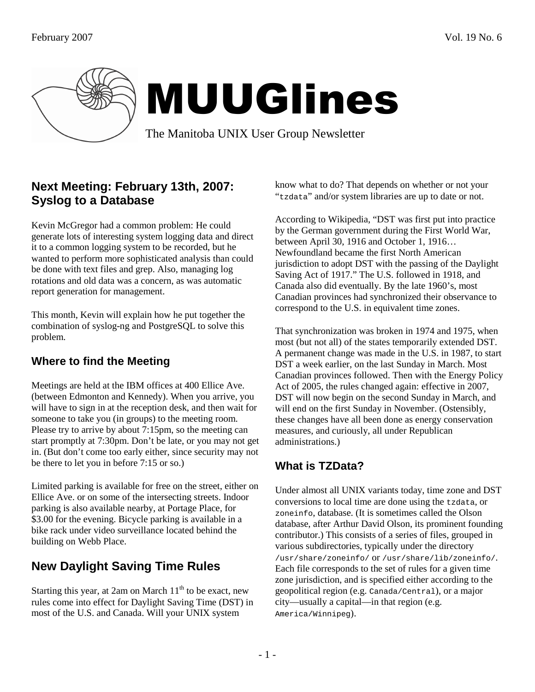

# MUUGlines

The Manitoba UNIX User Group Newsletter

## **Next Meeting: February 13th, 2007: Syslog to a Database**

Kevin McGregor had a common problem: He could generate lots of interesting system logging data and direct it to a common logging system to be recorded, but he wanted to perform more sophisticated analysis than could be done with text files and grep. Also, managing log rotations and old data was a concern, as was automatic report generation for management.

This month, Kevin will explain how he put together the combination of syslog-ng and PostgreSQL to solve this problem.

### **Where to find the Meeting**

Meetings are held at the IBM offices at 400 Ellice Ave. (between Edmonton and Kennedy). When you arrive, you will have to sign in at the reception desk, and then wait for someone to take you (in groups) to the meeting room. Please try to arrive by about 7:15pm, so the meeting can start promptly at 7:30pm. Don't be late, or you may not get in. (But don't come too early either, since security may not be there to let you in before 7:15 or so.)

Limited parking is available for free on the street, either on Ellice Ave. or on some of the intersecting streets. Indoor parking is also available nearby, at Portage Place, for \$3.00 for the evening. Bicycle parking is available in a bike rack under video surveillance located behind the building on Webb Place.

# **New Daylight Saving Time Rules**

Starting this year, at 2am on March  $11<sup>th</sup>$  to be exact, new rules come into effect for Daylight Saving Time (DST) in most of the U.S. and Canada. Will your UNIX system

know what to do? That depends on whether or not your "tzdata" and/or system libraries are up to date or not.

According to Wikipedia, "DST was first put into practice by the German government during the First World War, between April 30, 1916 and October 1, 1916… Newfoundland became the first North American jurisdiction to adopt DST with the passing of the Daylight Saving Act of 1917." The U.S. followed in 1918, and Canada also did eventually. By the late 1960's, most Canadian provinces had synchronized their observance to correspond to the U.S. in equivalent time zones.

That synchronization was broken in 1974 and 1975, when most (but not all) of the states temporarily extended DST. A permanent change was made in the U.S. in 1987, to start DST a week earlier, on the last Sunday in March. Most Canadian provinces followed. Then with the Energy Policy Act of 2005, the rules changed again: effective in 2007, DST will now begin on the second Sunday in March, and will end on the first Sunday in November. (Ostensibly, these changes have all been done as energy conservation measures, and curiously, all under Republican administrations.)

## **What is TZData?**

Under almost all UNIX variants today, time zone and DST conversions to local time are done using the tzdata, or zoneinfo, database. (It is sometimes called the Olson database, after Arthur David Olson, its prominent founding contributor.) This consists of a series of files, grouped in various subdirectories, typically under the directory /usr/share/zoneinfo/ or /usr/share/lib/zoneinfo/. Each file corresponds to the set of rules for a given time zone jurisdiction, and is specified either according to the geopolitical region (e.g. Canada/Central), or a major city—usually a capital—in that region (e.g. America/Winnipeg).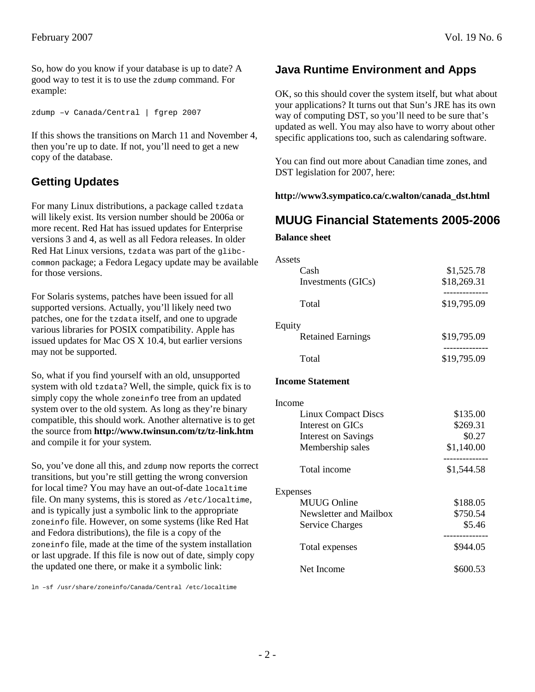So, how do you know if your database is up to date? A good way to test it is to use the zdump command. For example:

zdump –v Canada/Central | fgrep 2007

If this shows the transitions on March 11 and November 4, then you're up to date. If not, you'll need to get a new copy of the database.

### **Getting Updates**

For many Linux distributions, a package called tzdata will likely exist. Its version number should be 2006a or more recent. Red Hat has issued updates for Enterprise versions 3 and 4, as well as all Fedora releases. In older Red Hat Linux versions, tzdata was part of the glibccommon package; a Fedora Legacy update may be available for those versions.

For Solaris systems, patches have been issued for all supported versions. Actually, you'll likely need two patches, one for the tzdata itself, and one to upgrade various libraries for POSIX compatibility. Apple has issued updates for Mac OS X 10.4, but earlier versions may not be supported.

So, what if you find yourself with an old, unsupported system with old tzdata? Well, the simple, quick fix is to simply copy the whole zoneinfo tree from an updated system over to the old system. As long as they're binary compatible, this should work. Another alternative is to get the source from **http://www.twinsun.com/tz/tz-link.htm** and compile it for your system.

So, you've done all this, and zdump now reports the correct transitions, but you're still getting the wrong conversion for local time? You may have an out-of-date localtime file. On many systems, this is stored as /etc/localtime, and is typically just a symbolic link to the appropriate zoneinfo file. However, on some systems (like Red Hat and Fedora distributions), the file is a copy of the zoneinfo file, made at the time of the system installation or last upgrade. If this file is now out of date, simply copy the updated one there, or make it a symbolic link:

ln –sf /usr/share/zoneinfo/Canada/Central /etc/localtime

#### **Java Runtime Environment and Apps**

OK, so this should cover the system itself, but what about your applications? It turns out that Sun's JRE has its own way of computing DST, so you'll need to be sure that's updated as well. You may also have to worry about other specific applications too, such as calendaring software.

You can find out more about Canadian time zones, and DST legislation for 2007, here:

#### **http://www3.sympatico.ca/c.walton/canada\_dst.html**

#### **MUUG Financial Statements 2005-2006**

#### **Balance sheet**

| Assets                     |             |
|----------------------------|-------------|
| Cash                       | \$1,525.78  |
| Investments (GICs)         | \$18,269.31 |
| Total                      | \$19,795.09 |
| Equity                     |             |
| <b>Retained Earnings</b>   | \$19,795.09 |
| Total                      | \$19,795.09 |
| <b>Income Statement</b>    |             |
| Income                     |             |
| <b>Linux Compact Discs</b> | \$135.00    |
| Interest on GICs           | \$269.31    |
| <b>Interest on Savings</b> | \$0.27      |
| Membership sales           | \$1,140.00  |
| Total income               | \$1,544.58  |
| Expenses                   |             |
| <b>MUUG Online</b>         | \$188.05    |
| Newsletter and Mailbox     | \$750.54    |
| <b>Service Charges</b>     | \$5.46      |
| Total expenses             | \$944.05    |
| Net Income                 | \$600.53    |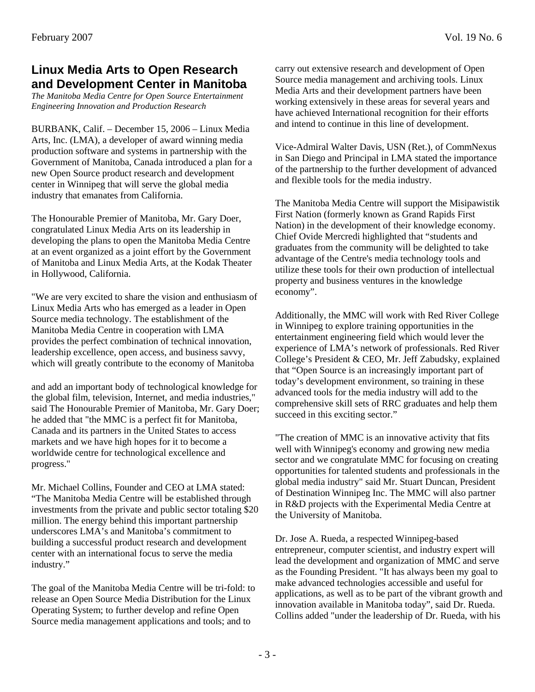#### **Linux Media Arts to Open Research and Development Center in Manitoba**

*The Manitoba Media Centre for Open Source Entertainment Engineering Innovation and Production Research* 

BURBANK, Calif. – December 15, 2006 – Linux Media Arts, Inc. (LMA), a developer of award winning media production software and systems in partnership with the Government of Manitoba, Canada introduced a plan for a new Open Source product research and development center in Winnipeg that will serve the global media industry that emanates from California.

The Honourable Premier of Manitoba, Mr. Gary Doer, congratulated Linux Media Arts on its leadership in developing the plans to open the Manitoba Media Centre at an event organized as a joint effort by the Government of Manitoba and Linux Media Arts, at the Kodak Theater in Hollywood, California.

"We are very excited to share the vision and enthusiasm of Linux Media Arts who has emerged as a leader in Open Source media technology. The establishment of the Manitoba Media Centre in cooperation with LMA provides the perfect combination of technical innovation, leadership excellence, open access, and business savvy, which will greatly contribute to the economy of Manitoba

and add an important body of technological knowledge for the global film, television, Internet, and media industries," said The Honourable Premier of Manitoba, Mr. Gary Doer; he added that "the MMC is a perfect fit for Manitoba, Canada and its partners in the United States to access markets and we have high hopes for it to become a worldwide centre for technological excellence and progress."

Mr. Michael Collins, Founder and CEO at LMA stated: "The Manitoba Media Centre will be established through investments from the private and public sector totaling \$20 million. The energy behind this important partnership underscores LMA's and Manitoba's commitment to building a successful product research and development center with an international focus to serve the media industry."

The goal of the Manitoba Media Centre will be tri-fold: to release an Open Source Media Distribution for the Linux Operating System; to further develop and refine Open Source media management applications and tools; and to

carry out extensive research and development of Open Source media management and archiving tools. Linux Media Arts and their development partners have been working extensively in these areas for several years and have achieved International recognition for their efforts and intend to continue in this line of development.

Vice-Admiral Walter Davis, USN (Ret.), of CommNexus in San Diego and Principal in LMA stated the importance of the partnership to the further development of advanced and flexible tools for the media industry.

The Manitoba Media Centre will support the Misipawistik First Nation (formerly known as Grand Rapids First Nation) in the development of their knowledge economy. Chief Ovide Mercredi highlighted that "students and graduates from the community will be delighted to take advantage of the Centre's media technology tools and utilize these tools for their own production of intellectual property and business ventures in the knowledge economy".

Additionally, the MMC will work with Red River College in Winnipeg to explore training opportunities in the entertainment engineering field which would lever the experience of LMA's network of professionals. Red River College's President & CEO, Mr. Jeff Zabudsky, explained that "Open Source is an increasingly important part of today's development environment, so training in these advanced tools for the media industry will add to the comprehensive skill sets of RRC graduates and help them succeed in this exciting sector."

"The creation of MMC is an innovative activity that fits well with Winnipeg's economy and growing new media sector and we congratulate MMC for focusing on creating opportunities for talented students and professionals in the global media industry" said Mr. Stuart Duncan, President of Destination Winnipeg Inc. The MMC will also partner in R&D projects with the Experimental Media Centre at the University of Manitoba.

Dr. Jose A. Rueda, a respected Winnipeg-based entrepreneur, computer scientist, and industry expert will lead the development and organization of MMC and serve as the Founding President. "It has always been my goal to make advanced technologies accessible and useful for applications, as well as to be part of the vibrant growth and innovation available in Manitoba today", said Dr. Rueda. Collins added "under the leadership of Dr. Rueda, with his